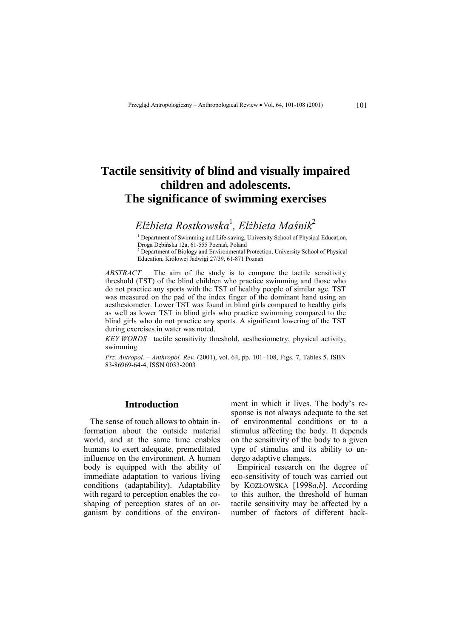# **Tactile sensitivity of blind and visually impaired children and adolescents. The significance of swimming exercises**

*Elżbieta Rostkowska*<sup>1</sup> *, Elżbieta Maśnik*<sup>2</sup>

<sup>1</sup> Department of Swimming and Life-saving, University School of Physical Education, Droga Dębińska 12a, 61-555 Poznań, Poland

<sup>2</sup> Department of Biology and Environmental Protection, University School of Physical Education, Królowej Jadwigi 27/39, 61-871 Poznań

*ABSTRACT* The aim of the study is to compare the tactile sensitivity threshold (TST) of the blind children who practice swimming and those who do not practice any sports with the TST of healthy people of similar age. TST was measured on the pad of the index finger of the dominant hand using an aesthesiometer. Lower TST was found in blind girls compared to healthy girls as well as lower TST in blind girls who practice swimming compared to the blind girls who do not practice any sports. A significant lowering of the TST during exercises in water was noted.

*KEY WORDS* tactile sensitivity threshold, aesthesiometry, physical activity, swimming

*Prz. Antropol. – Anthropol. Rev.* (2001), vol. 64, pp. 101–108, Figs. 7, Tables 5. ISBN 83-86969-64-4, ISSN 0033-2003

# **Introduction**

The sense of touch allows to obtain information about the outside material world, and at the same time enables humans to exert adequate, premeditated influence on the environment. A human body is equipped with the ability of immediate adaptation to various living conditions (adaptability). Adaptability with regard to perception enables the coshaping of perception states of an organism by conditions of the environment in which it lives. The body's response is not always adequate to the set of environmental conditions or to a stimulus affecting the body. It depends on the sensitivity of the body to a given type of stimulus and its ability to undergo adaptive changes.

Empirical research on the degree of eco-sensitivity of touch was carried out by KOZŁOWSKA [1998*a*,*b*]. According to this author, the threshold of human tactile sensitivity may be affected by a number of factors of different back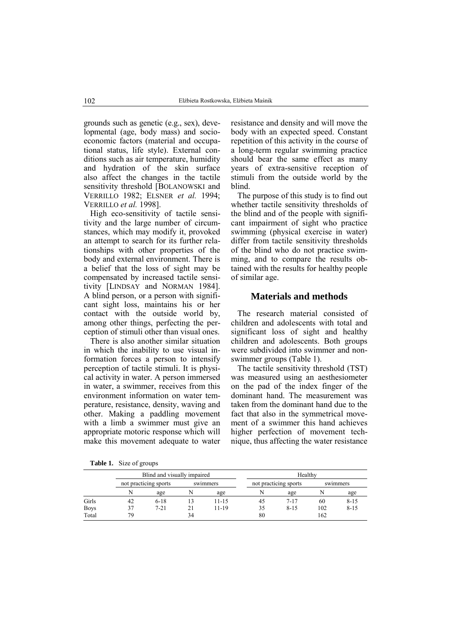grounds such as genetic (e.g., sex), developmental (age, body mass) and socioeconomic factors (material and occupational status, life style). External conditions such as air temperature, humidity and hydration of the skin surface also affect the changes in the tactile sensitivity threshold [BOLANOWSKI and VERRILLO 1982; ELSNER *et al.* 1994; VERRILLO *et al.* 1998].

High eco-sensitivity of tactile sensitivity and the large number of circumstances, which may modify it, provoked an attempt to search for its further relationships with other properties of the body and external environment. There is a belief that the loss of sight may be compensated by increased tactile sensitivity [LINDSAY and NORMAN 1984]. A blind person, or a person with significant sight loss, maintains his or her contact with the outside world by, among other things, perfecting the perception of stimuli other than visual ones.

There is also another similar situation in which the inability to use visual information forces a person to intensify perception of tactile stimuli. It is physical activity in water. A person immersed in water, a swimmer, receives from this environment information on water temperature, resistance, density, waving and other. Making a paddling movement with a limb a swimmer must give an appropriate motoric response which will make this movement adequate to water

**Table 1.** Size of groups

resistance and density and will move the body with an expected speed. Constant repetition of this activity in the course of a long-term regular swimming practice should bear the same effect as many years of extra-sensitive reception of stimuli from the outside world by the blind.

The purpose of this study is to find out whether tactile sensitivity thresholds of the blind and of the people with significant impairment of sight who practice swimming (physical exercise in water) differ from tactile sensitivity thresholds of the blind who do not practice swimming, and to compare the results obtained with the results for healthy people of similar age.

## **Materials and methods**

The research material consisted of children and adolescents with total and significant loss of sight and healthy children and adolescents. Both groups were subdivided into swimmer and nonswimmer groups (Table 1).

The tactile sensitivity threshold (TST) was measured using an aesthesiometer on the pad of the index finger of the dominant hand. The measurement was taken from the dominant hand due to the fact that also in the symmetrical movement of a swimmer this hand achieves higher perfection of movement technique, thus affecting the water resistance

|             |                       | Blind and visually impaired |          |       |                       | Healthy  |          |          |  |
|-------------|-----------------------|-----------------------------|----------|-------|-----------------------|----------|----------|----------|--|
|             | not practicing sports |                             | swimmers |       | not practicing sports |          | swimmers |          |  |
|             | N                     | age                         | N        | age   | N                     | age      |          | age      |  |
| Girls       | 42                    | $6 - 18$                    | 13       | 11-15 | 45                    | $7 - 17$ | 60       | $8 - 15$ |  |
| <b>Boys</b> | 37                    | $7 - 21$                    | 21       | 11-19 | 35                    | $8 - 15$ | 102      | $8 - 15$ |  |
| Total       | 79                    |                             | 34       |       | 80                    |          | 162      |          |  |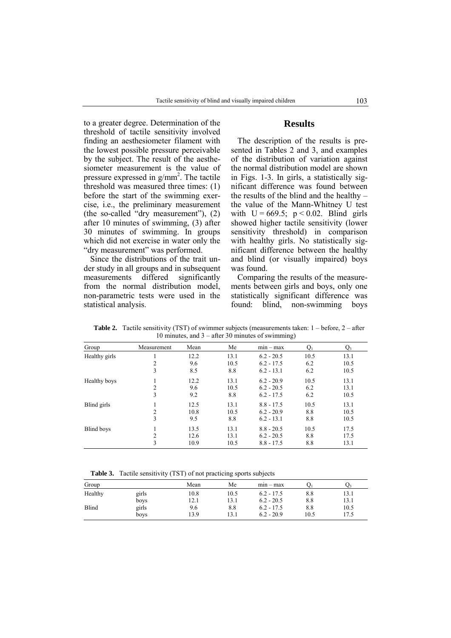to a greater degree. Determination of the threshold of tactile sensitivity involved finding an aesthesiometer filament with the lowest possible pressure perceivable by the subject. The result of the aesthesiometer measurement is the value of pressure expressed in  $g/mm^2$ . The tactile threshold was measured three times: (1) before the start of the swimming exercise, i.e., the preliminary measurement (the so-called "dry measurement"),  $(2)$ after 10 minutes of swimming, (3) after 30 minutes of swimming. In groups which did not exercise in water only the "dry measurement" was performed.

Since the distributions of the trait under study in all groups and in subsequent measurements differed significantly from the normal distribution model, non-parametric tests were used in the statistical analysis.

# **Results**

The description of the results is presented in Tables 2 and 3, and examples of the distribution of variation against the normal distribution model are shown in Figs. 1-3. In girls, a statistically significant difference was found between the results of the blind and the healthy  $$ the value of the Mann-Whitney U test with  $U = 669.5$ ;  $p < 0.02$ . Blind girls showed higher tactile sensitivity (lower sensitivity threshold) in comparison with healthy girls. No statistically significant difference between the healthy and blind (or visually impaired) boys was found.

Comparing the results of the measurements between girls and boys, only one statistically significant difference was found: blind, non-swimming boys

|               |                |      |      | To minutes, and $\beta$ and $\beta$ minutes of swimming, |      |      |
|---------------|----------------|------|------|----------------------------------------------------------|------|------|
| Group         | Measurement    | Mean | Me   | $min - max$                                              |      | Q3   |
| Healthy girls |                | 12.2 | 13.1 | $6.2 - 20.5$                                             | 10.5 | 13.1 |
|               | 2              | 9.6  | 10.5 | $6.2 - 17.5$                                             | 6.2  | 10.5 |
|               | 3              | 8.5  | 8.8  | $6.2 - 13.1$                                             | 6.2  | 10.5 |
| Healthy boys  |                | 12.2 | 13.1 | $6.2 - 20.9$                                             | 10.5 | 13.1 |
|               | 2              | 9.6  | 10.5 | $6.2 - 20.5$                                             | 6.2  | 13.1 |
|               | 3              | 9.2  | 8.8  | $6.2 - 17.5$                                             | 6.2  | 10.5 |
| Blind girls   |                | 12.5 | 13.1 | $8.8 - 17.5$                                             | 10.5 | 13.1 |
|               | 2              | 10.8 | 10.5 | $6.2 - 20.9$                                             | 8.8  | 10.5 |
|               | 3              | 9.5  | 8.8  | $6.2 - 13.1$                                             | 8.8  | 10.5 |
| Blind boys    |                | 13.5 | 13.1 | $8.8 - 20.5$                                             | 10.5 | 17.5 |
|               | $\mathfrak{D}$ | 12.6 | 13.1 | $6.2 - 20.5$                                             | 8.8  | 17.5 |
|               | 3              | 10.9 | 10.5 | $8.8 - 17.5$                                             | 8.8  | 13.1 |

**Table 2.** Tactile sensitivity (TST) of swimmer subjects (measurements taken:  $1 - \text{before}$ ,  $2 - \text{after}$  $10 \text{ minutes}$  and  $3 - \text{after}$  30 minutes of swimming)

**Table 3.** Tactile sensitivity (TST) of not practicing sports subjects

|       | Mean | Me   | $mn - max$   |      | در   |
|-------|------|------|--------------|------|------|
| girls | 10.8 | 10.5 | $6.2 - 17.5$ | 8.8  | 13.1 |
| boys  | 12.1 | 13.1 | $6.2 - 20.5$ | 8.8  | 13.1 |
| girls | 9.6  | 8.8  | $6.2 - 17.5$ | 8.8  | 10.5 |
| boys  | 13.9 | 13.1 | $6.2 - 20.9$ | 10.5 | 17.5 |
|       |      |      |              |      |      |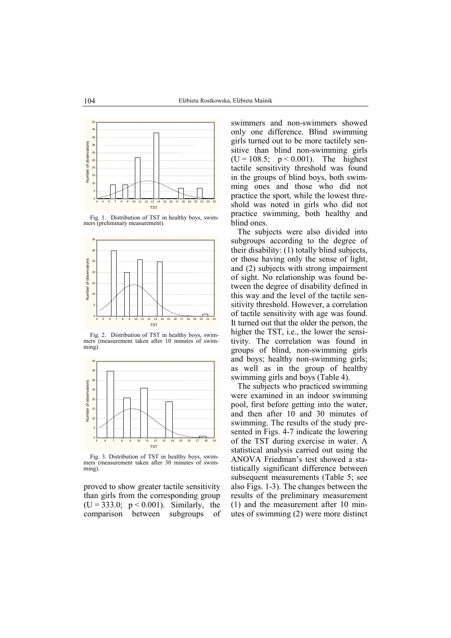

Fig. 1. Distribution of TST in healthy boys, swimmers (preliminary measurement).



Fig. 2. Distribution of TST in healthy boys, swimmers (measurement taken after 10 minutes of swimming).



Fig. 3. Distribution of TST in healthy boys, swimmers (measurement taken after 30 minutes of swimming).

proved to show greater tactile sensitivity than girls from the corresponding group  $(U = 333.0; p < 0.001)$ . Similarly, the comparison between subgroups of

swimmers and non-swimmers showed only one difference. Blind swimming girls turned out to be more tactilely sensitive than blind non-swimming girls  $(U = 108.5; p < 0.001)$ . The highest tactile sensitivity threshold was found in the groups of blind boys, both swimming ones and those who did not practice the sport, while the lowest threshold was noted in girls who did not practice swimming, both healthy and blind ones.

The subjects were also divided into subgroups according to the degree of their disability: (1) totally blind subjects, or those having only the sense of light, and (2) subjects with strong impairment of sight. No relationship was found between the degree of disability defined in this way and the level of the tactile sensitivity threshold. However, a correlation of tactile sensitivity with age was found. It turned out that the older the person, the higher the TST, i.e., the lower the sensitivity. The correlation was found in groups of blind, non-swimming girls and boys; healthy non-swimming girls; as well as in the group of healthy swimming girls and boys (Table 4).

The subjects who practiced swimming were examined in an indoor swimming pool, first before getting into the water, and then after 10 and 30 minutes of swimming. The results of the study presented in Figs. 4-7 indicate the lowering of the TST during exercise in water. A statistical analysis carried out using the ANOVA Friedman's test showed a statistically significant difference between subsequent measurements (Table 5; see also Figs. 1-3). The changes between the results of the preliminary measurement (1) and the measurement after 10 minutes of swimming (2) were more distinct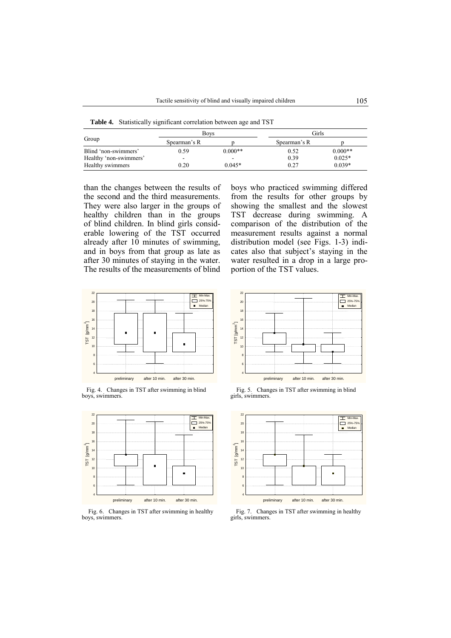**Table 4.** Statistically significant correlation between age and TST

|                        | <b>Boys</b>  |                          | Girls        |           |
|------------------------|--------------|--------------------------|--------------|-----------|
| Group                  | Spearman's R |                          | Spearman's R |           |
| Blind 'non-swimmers'   | 0.59         | $0.000**$                | 0.52         | $0.000**$ |
| Healthy 'non-swimmers' | -            | $\overline{\phantom{0}}$ | 0.39         | $0.025*$  |
| Healthy swimmers       | 0.20         | $0.045*$                 | 0.27         | $0.039*$  |

than the changes between the results of the second and the third measurements. They were also larger in the groups of healthy children than in the groups of blind children. In blind girls considerable lowering of the TST occurred already after 10 minutes of swimming, and in boys from that group as late as after 30 minutes of staying in the water. The results of the measurements of blind



Fig. 4. Changes in TST after swimming in blind<br>
boys, swimmers.<br>
girls, swimmers.



Fig. 6. Changes in TST after swimming in healthy<br>
youthous swimmers.<br>
Fig. 7. Changes in TST after swimming in healthy<br>
girls, swimmers. boys, swimmers.

boys who practiced swimming differed from the results for other groups by showing the smallest and the slowest TST decrease during swimming. A comparison of the distribution of the measurement results against a normal distribution model (see Figs. 1-3) indicates also that subject's staying in the water resulted in a drop in a large proportion of the TST values.



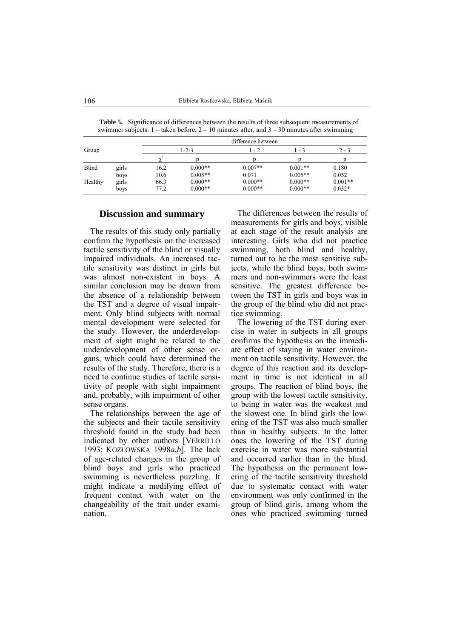|         |               | difference between |                        |                        |                        |                       |  |  |  |
|---------|---------------|--------------------|------------------------|------------------------|------------------------|-----------------------|--|--|--|
| Group   |               | $1 - 2 - 3$        |                        | 1 - 2                  | - 3                    | $2 - 3$               |  |  |  |
|         |               |                    |                        |                        |                        |                       |  |  |  |
| Blind   | girls         | 16.2               | $0.000**$              | $0.007**$              | $0.001**$              | 0.180                 |  |  |  |
|         | boys          | 10.6               | $0.005**$              | 0.071                  | $0.005**$              | 0.052                 |  |  |  |
| Healthy | girls<br>boys | 66.3<br>77.2       | $0.000**$<br>$0.000**$ | $0.000**$<br>$0.000**$ | $0.000**$<br>$0.000**$ | $0.001**$<br>$0.032*$ |  |  |  |

**Table 5.** Significance of differences between the results of three subsequent measurements of swimmer subjects:  $1 -$  taken before,  $2 - 10$  minutes after, and  $3 - 30$  minutes after swimming

#### **Discussion and summary**

The results of this study only partially confirm the hypothesis on the increased tactile sensitivity of the blind or visually impaired individuals. An increased tactile sensitivity was distinct in girls but was almost non-existent in boys. A similar conclusion may be drawn from the absence of a relationship between the TST and a degree of visual impairment. Only blind subjects with normal mental development were selected for the study. However, the underdevelopment of sight might be related to the underdevelopment of other sense organs, which could have determined the results of the study. Therefore, there is a need to continue studies of tactile sensitivity of people with sight impairment and, probably, with impairment of other sense organs.

The relationships between the age of the subjects and their tactile sensitivity threshold found in the study had been indicated by other authors [VERRILLO 1993; KOZŁOWSKA 1998*a*,*b*]. The lack of age-related changes in the group of blind boys and girls who practiced swimming is nevertheless puzzling. It might indicate a modifying effect of frequent contact with water on the changeability of the trait under examination.

The differences between the results of measurements for girls and boys, visible at each stage of the result analysis are interesting. Girls who did not practice swimming, both blind and healthy, turned out to be the most sensitive subjects, while the blind boys, both swimmers and non-swimmers were the least sensitive. The greatest difference between the TST in girls and boys was in the group of the blind who did not practice swimming.

The lowering of the TST during exercise in water in subjects in all groups confirms the hypothesis on the immediate effect of staying in water environment on tactile sensitivity. However, the degree of this reaction and its development in time is not identical in all groups. The reaction of blind boys, the group with the lowest tactile sensitivity, to being in water was the weakest and the slowest one. In blind girls the lowering of the TST was also much smaller than in healthy subjects. In the latter ones the lowering of the TST during exercise in water was more substantial and occurred earlier than in the blind. The hypothesis on the permanent lowering of the tactile sensitivity threshold due to systematic contact with water environment was only confirmed in the group of blind girls, among whom the ones who practiced swimming turned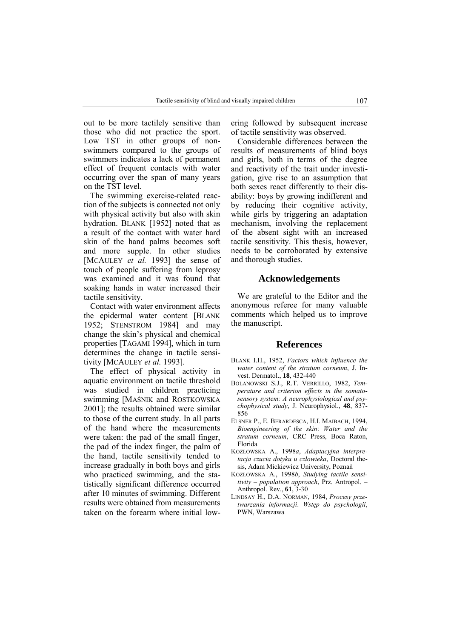out to be more tactilely sensitive than those who did not practice the sport. Low TST in other groups of nonswimmers compared to the groups of swimmers indicates a lack of permanent effect of frequent contacts with water occurring over the span of many years on the TST level.

The swimming exercise-related reaction of the subjects is connected not only with physical activity but also with skin hydration. BLANK [1952] noted that as a result of the contact with water hard skin of the hand palms becomes soft and more supple. In other studies [MCAULEY *et al.* 1993] the sense of touch of people suffering from leprosy was examined and it was found that soaking hands in water increased their tactile sensitivity.

Contact with water environment affects the epidermal water content [BLANK 1952; STENSTROM 1984] and may change the skin's physical and chemical properties [TAGAMI 1994], which in turn determines the change in tactile sensitivity [MCAULEY *et al.* 1993].

The effect of physical activity in aquatic environment on tactile threshold was studied in children practicing swimming [MAŚNIK and ROSTKOWSKA 2001]; the results obtained were similar to those of the current study. In all parts of the hand where the measurements were taken: the pad of the small finger, the pad of the index finger, the palm of the hand, tactile sensitivity tended to increase gradually in both boys and girls who practiced swimming, and the statistically significant difference occurred after 10 minutes of swimming. Different results were obtained from measurements taken on the forearm where initial lowering followed by subsequent increase of tactile sensitivity was observed.

Considerable differences between the results of measurements of blind boys and girls, both in terms of the degree and reactivity of the trait under investigation, give rise to an assumption that both sexes react differently to their disability: boys by growing indifferent and by reducing their cognitive activity, while girls by triggering an adaptation mechanism, involving the replacement of the absent sight with an increased tactile sensitivity. This thesis, however, needs to be corroborated by extensive and thorough studies.

## **Acknowledgements**

We are grateful to the Editor and the anonymous referee for many valuable comments which helped us to improve the manuscript.

#### **References**

- BLANK I.H., 1952, *Factors which influence the water content of the stratum corneum*, J. Invest. Dermatol., **18**, 432-440
- BOLANOWSKI S.J., R.T. VERRILLO, 1982, *Temperature and criterion effects in the somatosensory system: A neurophysiological and psychophysical study*, J. Neurophysiol., **48**, 837- 856
- ELSNER P., E. BERARDESCA, H.I. MAIBACH, 1994, *Bioengineering of the skin*: *Water and the stratum corneum*, CRC Press, Boca Raton, Florida
- KOZŁOWSKA A., 1998*a*, *Adaptacyjna interpretacja czucia dotyku u człowieka*, Doctoral thesis, Adam Mickiewicz University, Poznań
- KOZŁOWSKA A., 1998*b*, *Studying tactile sensitivity - population approach*, Prz. Antropol. -Anthropol. Rev., **61**, 3-30
- LINDSAY H., D.A. NORMAN, 1984, *Procesy przetwarzania informacji*. *Wstęp do psychologii*, PWN, Warszawa